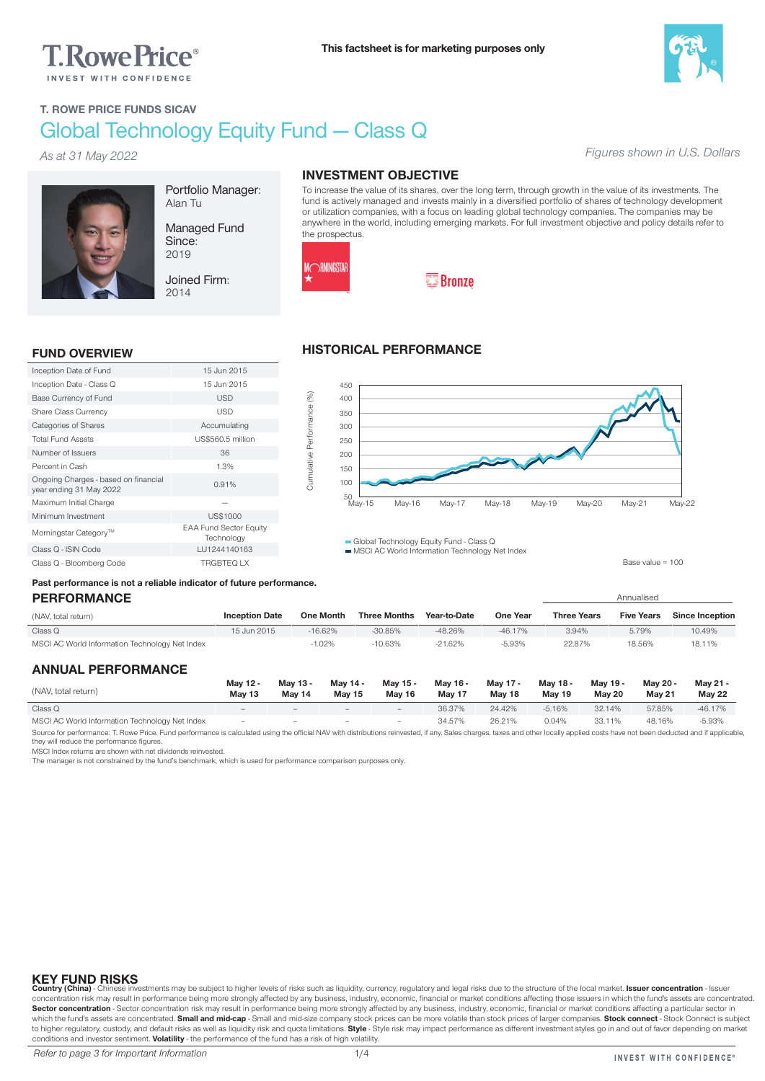# **T.RowePrice**®



*Figures shown in U.S. Dollars*

## T. ROWE PRICE FUNDS SICAV Global Technology Equity Fund — Class Q

*As at 31 May 2022*



Portfolio Manager: Alan Tu

Managed Fund Since: 2019

Joined Firm: 2014

#### INVESTMENT OBJECTIVE

To increase the value of its shares, over the long term, through growth in the value of its investments. The fund is actively managed and invests mainly in a diversified portfolio of shares of technology development or utilization companies, with a focus on leading global technology companies. The companies may be anywhere in the world, including emerging markets. For full investment objective and policy details refer to the prospectus.



Cumulative Performance (%)

Cumulative Performance (%)

# **E**Bronze

#### FUND OVERVIEW

| Inception Date of Fund                                          | 15 Jun 2015                                 |
|-----------------------------------------------------------------|---------------------------------------------|
| Inception Date - Class Q                                        | 15 Jun 2015                                 |
| Base Currency of Fund                                           | <b>USD</b>                                  |
| <b>Share Class Currency</b>                                     | USD                                         |
| Categories of Shares                                            | Accumulating                                |
| <b>Total Fund Assets</b>                                        | US\$560.5 million                           |
| Number of Issuers                                               | 36                                          |
| Percent in Cash                                                 | 1.3%                                        |
| Ongoing Charges - based on financial<br>year ending 31 May 2022 | 0.91%                                       |
| Maximum Initial Charge                                          |                                             |
| Minimum Investment                                              | US\$1000                                    |
| Morningstar Category <sup>™</sup>                               | <b>EAA Fund Sector Equity</b><br>Technology |
| Class Q - ISIN Code                                             | LU1244140163                                |
| Class Q - Bloomberg Code                                        | <b>TRGBTEQ LX</b>                           |

#### HISTORICAL PERFORMANCE



Global Technology Equity Fund - Class Q  $MSE$  MSCI AC World Information Technology Net Index

Base value = 100

# Past performance is not a reliable indicator of future performance.

| <b>PERFORMANCE</b>                             |                       |                  |                     |              |           | Annualised         |                   |                        |  |
|------------------------------------------------|-----------------------|------------------|---------------------|--------------|-----------|--------------------|-------------------|------------------------|--|
| (NAV, total return)                            | <b>Inception Date</b> | <b>One Month</b> | <b>Three Months</b> | Year-to-Date | One Year  | <b>Three Years</b> | <b>Five Years</b> | <b>Since Inception</b> |  |
| Class Q                                        | 15 Jun 2015           | $-16.62%$        | $-30.85%$           | $-48.26%$    | $-46.17%$ | 3.94%              | 5.79%             | 10.49%                 |  |
| MSCI AC World Information Technology Net Index |                       | $-1.02%$         | $-10.63%$           | $-21.62%$    | $-5.93%$  | 22.87%             | 18.56%            | 18.11%                 |  |

#### ANNUAL PERFORMANCE

| (NAV, total return)                            | May 12 -<br>May 13       | May 13 -<br>May 14       | May 14 -<br>May 15       | May 15 -<br>May 16           | May 16 -<br>May 17 | May 17 -<br>May 18 | May 18 -<br>May 19 | May 19 -<br><b>May 20</b> | May 20 -<br><b>May 21</b> | May 21 -<br><b>May 22</b> |
|------------------------------------------------|--------------------------|--------------------------|--------------------------|------------------------------|--------------------|--------------------|--------------------|---------------------------|---------------------------|---------------------------|
| Class Q                                        | $\overline{\phantom{a}}$ | $\overline{\phantom{a}}$ | $-$                      | $\qquad \qquad \blacksquare$ | 36.37%             | 24.42%             | $-5.16%$           | 32.14%                    | 57.85%                    | $-46.17%$                 |
| MSCI AC World Information Technology Net Index | $\overline{\phantom{a}}$ | $-$                      | $\overline{\phantom{a}}$ | $\overline{\phantom{a}}$     | 34.57%             | 26.21%             | 0.04%              | 33.11%                    | 48.16%                    | $-5.93%$                  |

Source for performance: T. Rowe Price. Fund performance is calculated using the official NAV with distributions reinvested, if any. Sales charges, taxes and other locally applied costs have not been deducted and if applica they will reduce the performance figures.

MSCI Index returns are shown with net dividends reinvested.

The manager is not constrained by the fund's benchmark, which is used for performance comparison purposes only.

KEY FUND RISKS<br>Country (China) - Chinese investments may be subject to higher levels of risks such as liquidity, currency, regulatory and legal risks due to the structure of the local market. Issuer concentration - Issuer<br> Sector concentration - Sector concentration risk may result in performance being more strongly affected by any business, industry, economic, financial or market conditions affecting a particular sector in which the fund's assets are concentrated. Small and mid-cap - Small and mid-size company stock prices can be more volatile than stock prices of larger companies. Stock connect - Stock Connect is subject to higher regulatory, custody, and default risks as well as liquidity risk and quota limitations. **Style** - Style risk may impact performance as different investment styles go in and out of favor depending on market<br>condit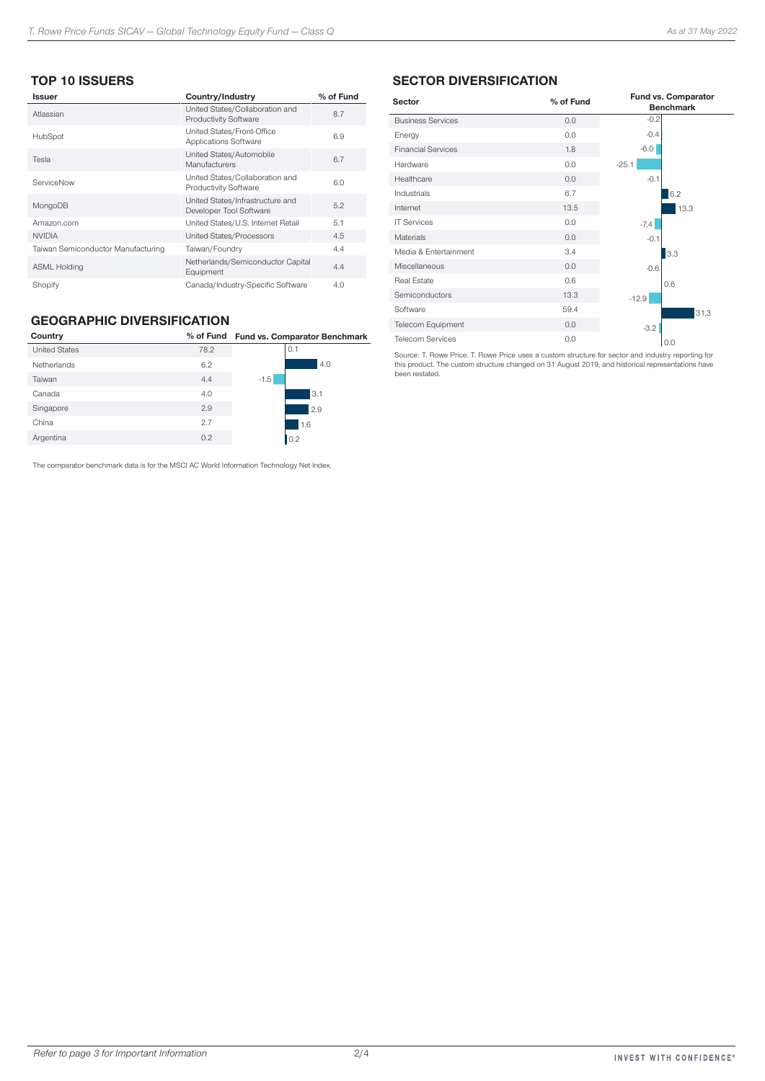### TOP 10 ISSUERS

| <b>Issuer</b>                      | Country/Industry                                                | % of Fund |
|------------------------------------|-----------------------------------------------------------------|-----------|
| Atlassian                          | United States/Collaboration and<br>Productivity Software        | 8.7       |
| HubSpot                            | United States/Front-Office<br>Applications Software             | 6.9       |
| Tesla                              | United States/Automobile<br>Manufacturers                       | 6.7       |
| ServiceNow                         | United States/Collaboration and<br><b>Productivity Software</b> | 6.0       |
| MongoDB                            | United States/Infrastructure and<br>Developer Tool Software     | 5.2       |
| Amazon.com                         | United States/U.S. Internet Retail                              | 5.1       |
| <b>NVIDIA</b>                      | United States/Processors                                        | 4.5       |
| Taiwan Semiconductor Manufacturing | Taiwan/Foundry                                                  | 4.4       |
| <b>ASML Holding</b>                | Netherlands/Semiconductor Capital<br>Equipment                  | 4.4       |
| Shopify                            | Canada/Industry-Specific Software                               | 4.0       |

#### GEOGRAPHIC DIVERSIFICATION

| Country              |      | % of Fund Fund vs. Comparator Benchmark |  |
|----------------------|------|-----------------------------------------|--|
| <b>United States</b> | 78.2 | 0.1                                     |  |
| Netherlands          | 6.2  | 4.0                                     |  |
| Taiwan               | 4.4  | $-1.5$                                  |  |
| Canada               | 4.0  | 13.1                                    |  |
| Singapore            | 2.9  | 2.9                                     |  |
| China                | 2.7  | 1.6                                     |  |
| Argentina            | 0.2  | 0.2                                     |  |
|                      |      |                                         |  |

The comparator benchmark data is for the MSCI AC World Information Technology Net Index.

#### SECTOR DIVERSIFICATION

| Sector                    | % of Fund | Fund vs. Comparator<br><b>Benchmark</b> |
|---------------------------|-----------|-----------------------------------------|
| <b>Business Services</b>  | 0.0       | $-0.2$                                  |
| Energy                    | 0.0       | $-0.4$                                  |
| <b>Financial Services</b> | 1.8       | $-6.0$                                  |
| Hardware                  | 0.0       | $-25.1$                                 |
| Healthcare                | 0.0       | $-0.1$                                  |
| Industrials               | 6.7       | 6.2                                     |
| Internet                  | 13.5      | 13.3                                    |
| <b>IT Services</b>        | 0.0       | $-7.4$                                  |
| Materials                 | 0.0       | $-0.1$                                  |
| Media & Entertainment     | 3.4       | 3.3                                     |
| Miscellaneous             | 0.0       | $-0.6$                                  |
| <b>Real Estate</b>        | 0.6       | 0.6                                     |
| Semiconductors            | 13.3      | $-12.9$                                 |
| Software                  | 59.4      | 31.3                                    |
| <b>Telecom Equipment</b>  | 0.0       | $-3.2$                                  |
| <b>Telecom Services</b>   | 0.0       | 0.0                                     |

Source: T. Rowe Price. T. Rowe Price uses a custom structure for sector and industry reporting for this product. The custom structure changed on 31 August 2019, and historical representations have been restated.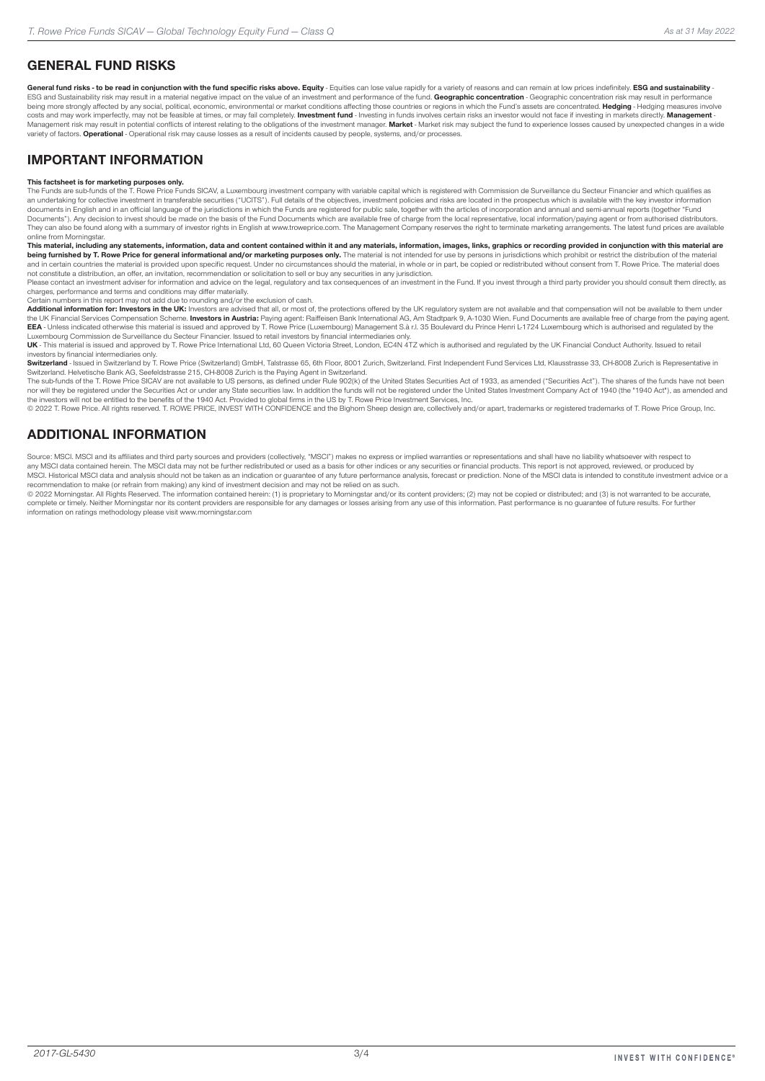### GENERAL FUND RISKS

General fund risks - to be read in conjunction with the fund specific risks above. Equity - Foulties can lose value rapidly for a variety of reasons and can remain at low prices indefinitely. ESG and sustainability -ESG and Sustainability risk may result in a material negative impact on the value of an investment and performance of the fund. Geographic concentration - Geographic concentration risk may result in performance of the fund being more strongly affected by any social, political, economic, environmental or market conditions affecting those countries or regions in which the Fund's assets are concentrated. Hedging - Hedging measures involve costs and may work imperfectly, may not be feasible at times, or may fail completely. Investment fund - Investing in funds involves certain risks an investor would not face if investing in markets directly. Management -Management risk may result in potential conflicts of interest relating to the obligations of the investment manager. Market - Market risk may subject the fund to experience losses caused by unexpected changes in a wide variety of factors. Operational - Operational risk may cause losses as a result of incidents caused by people, systems, and/or processes.

#### IMPORTANT INFORMATION

**This factsheet is for marketing purposes only.**<br>The Funds are sub-funds of the T. Rowe Price Funds SICAV, a Luxembourg investment company with variable capital which is registered with Commission de Surveillance du Secteu an undertaking for collective investment in transferable securities ("UCITS"). Full details of the objectives, investment policies and risks are located in the prospectus which is available with the key investor informatio Documents"). Any decision to invest should be made on the basis of the Fund Documents which are available free of charge from the local representative, local information/paying agent or from authorised distributors.<br>They c online from Morningstar.

This material, including any statements, information, data and content contained within it and any materials, information, images, links, graphics or recording provided in conjunction with this material are being furnished by T. Rowe Price for general informational and/or marketing purposes only. The material is not intended for use by persons in jurisdictions which prohibit or restrict the distribution of the material<br>and in not constitute a distribution, an offer, an invitation, recommendation or solicitation to sell or buy any securities in any jurisdiction.

Please contact an investment adviser for information and advice on the legal, regulatory and tax consequences of an investment in the Fund. If you invest through a third party provider you should consult them directly, as charges, performance and terms and conditions may differ materially.

Certain numbers in this report may not add due to rounding and/or the exclusion of cash.

Additional information for: Investors in the UK: Investors are advised that all, or most of, the protections offered by the UK regulatory system are not available and that compensation will not be available to them under the UK Financial Services Compensation Scheme. **Investors in Austria:** Paying agent: Raiffeisen Bank International AG, Am Stadtpark 9, A-1030 Wien. Fund Documents are available free of charge from the paying agent.<br>**EEA** -

UK - This material is issued and approved by T. Rowe Price International Ltd, 60 Queen Victoria Street, London, EC4N 4TZ which is authorised and regulated by the UK Financial Conduct Authority. Issued to retail investors by financial intermediaries only.

Switzerland - Issued in Switzerland by T. Rowe Price (Switzerland) GmbH, Talstrasse 65, 6th Floor, 8001 Zurich, Switzerland. First Independent Fund Services Ltd, Klausstrasse 33, CH-8008 Zurich is Representative in

Switzerland. Helvetische Bank AG, Seefeldstrasse 215, CH-8008 Zurich is the Paying Agent in Switzerland.<br>The sub-funds of the T. Rowe Price SICAV are not available to US persons, as defined under Rule 902(k) of the United nor will they be registered under the Securities Act or under any State securities law. In addition the funds will not be registered under the United States Investment Company Act of 1940 (the "1940 Act"), as amended and

the investors will not be entitled to the benefits of the 1940 Act. Provided to global firms in the US by T. Rowe Price Investment Services, Inc.<br>© 2022 T. Rowe Price. All rights reserved. T. ROWE PRICE, INVEST WITH CONFID

#### ADDITIONAL INFORMATION

Source: MSCI. MSCI and its affiliates and third party sources and providers (collectively, "MSCI") makes no express or implied warranties or representations and shall have no liability whatsoever with respect to any MSCI data contained herein. The MSCI data may not be further redistributed or used as a basis for other indices or any securities or financial products. This report is not approved, reviewed, or produced by MSCI. Historical MSCI data and analysis should not be taken as an indication or guarantee of any future performance analysis, forecast or prediction. None of the MSCI data is intended to constitute investment advice or a recommendation to make (or refrain from making) any kind of investment decision and may not be relied on as such.

© 2022 Morningstar. All Rights Reserved. The information contained herein: (1) is proprietary to Morningstar and/or its content providers; (2) may not be copied or distributed; and (3) is not warranted to be accurate, complete or timely. Neither Morningstar nor its content providers are responsible for any damages or losses arising from any use of this information. Past performance is no guarantee of future results. For further information on ratings methodology please visit www.morningstar.com